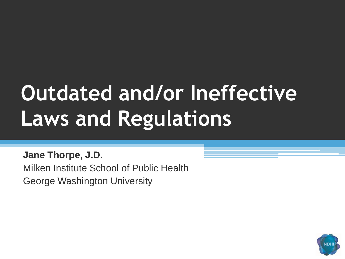# **Outdated and/or Ineffective Laws and Regulations**

**Jane Thorpe, J.D.** Milken Institute School of Public Health George Washington University

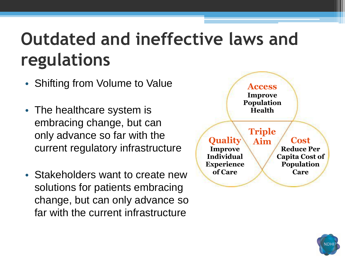#### **Outdated and ineffective laws and regulations**

- Shifting from Volume to Value
- The healthcare system is embracing change, but can only advance so far with the current regulatory infrastructure
- Stakeholders want to create new solutions for patients embracing change, but can only advance so far with the current infrastructure



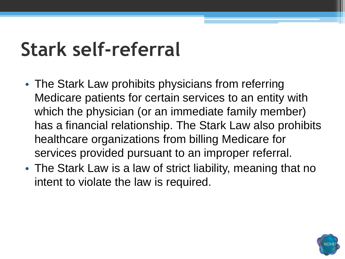## **Stark self-referral**

- The Stark Law prohibits physicians from referring Medicare patients for certain services to an entity with which the physician (or an immediate family member) has a financial relationship. The Stark Law also prohibits healthcare organizations from billing Medicare for services provided pursuant to an improper referral.
- The Stark Law is a law of strict liability, meaning that no intent to violate the law is required.

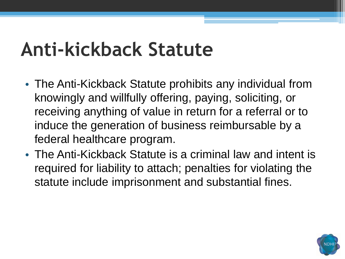## **Anti-kickback Statute**

- The Anti-Kickback Statute prohibits any individual from knowingly and willfully offering, paying, soliciting, or receiving anything of value in return for a referral or to induce the generation of business reimbursable by a federal healthcare program.
- The Anti-Kickback Statute is a criminal law and intent is required for liability to attach; penalties for violating the statute include imprisonment and substantial fines.

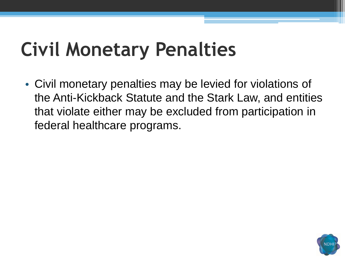## **Civil Monetary Penalties**

• Civil monetary penalties may be levied for violations of the Anti-Kickback Statute and the Stark Law, and entities that violate either may be excluded from participation in federal healthcare programs.

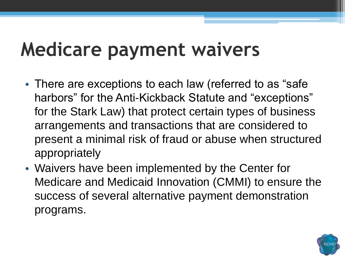## **Medicare payment waivers**

- There are exceptions to each law (referred to as "safe" harbors" for the Anti-Kickback Statute and "exceptions" for the Stark Law) that protect certain types of business arrangements and transactions that are considered to present a minimal risk of fraud or abuse when structured appropriately
- Waivers have been implemented by the Center for Medicare and Medicaid Innovation (CMMI) to ensure the success of several alternative payment demonstration programs.

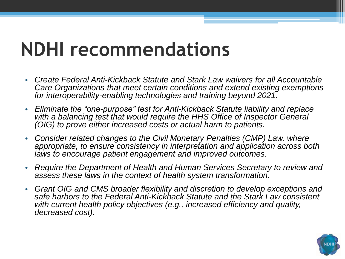#### **NDHI recommendations**

- *Create Federal Anti-Kickback Statute and Stark Law waivers for all Accountable Care Organizations that meet certain conditions and extend existing exemptions for interoperability-enabling technologies and training beyond 2021.*
- *Eliminate the "one-purpose" test for Anti-Kickback Statute liability and replace*  with a balancing test that would require the HHS Office of Inspector General *(OIG) to prove either increased costs or actual harm to patients.*
- *Consider related changes to the Civil Monetary Penalties (CMP) Law, where appropriate, to ensure consistency in interpretation and application across both laws to encourage patient engagement and improved outcomes.*
- *Require the Department of Health and Human Services Secretary to review and assess these laws in the context of health system transformation.*
- *Grant OIG and CMS broader flexibility and discretion to develop exceptions and safe harbors to the Federal Anti-Kickback Statute and the Stark Law consistent with current health policy objectives (e.g., increased efficiency and quality, decreased cost).*